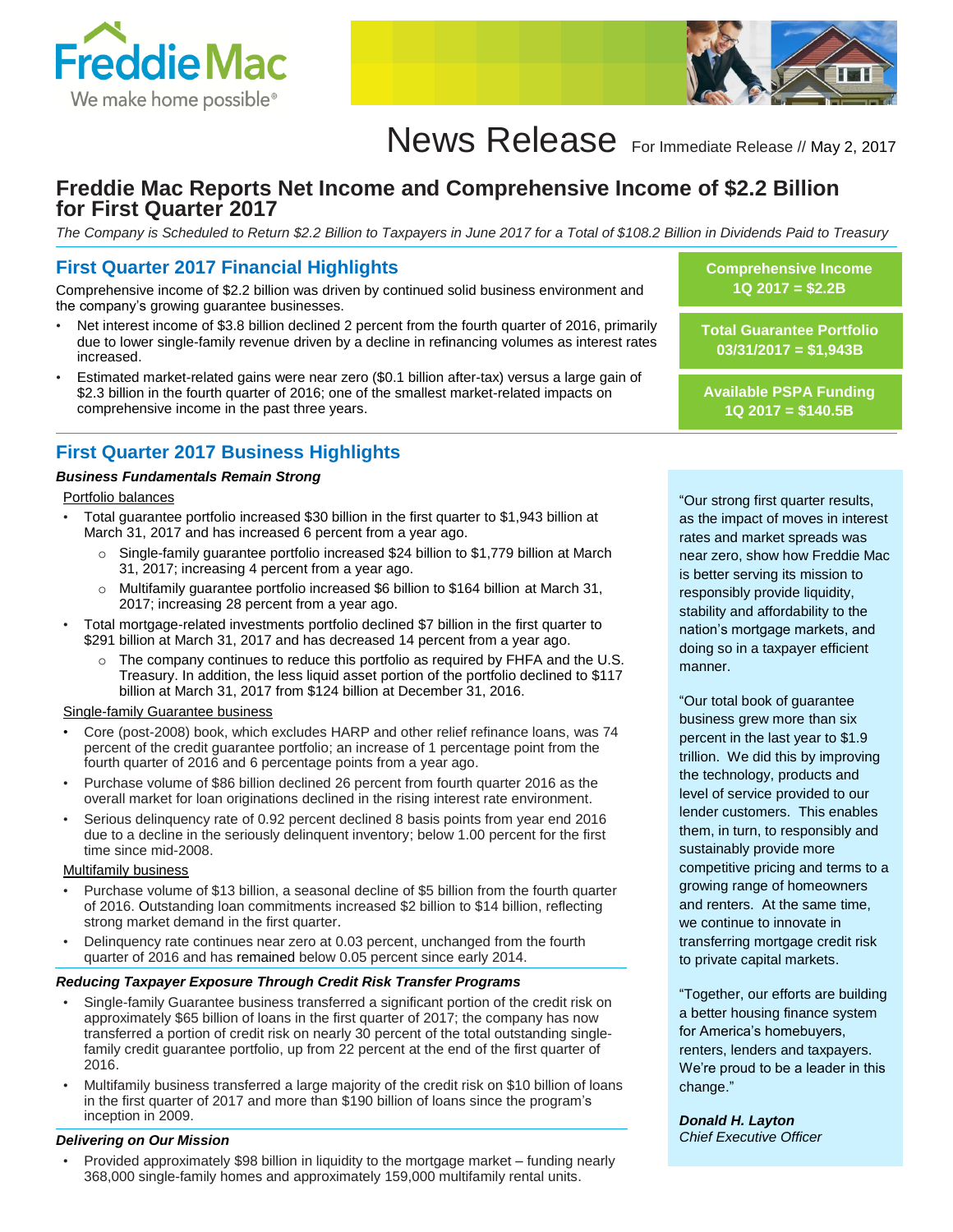



# News Release For Immediate Release // May 2, 2017

# **Freddie Mac Reports Net Income and Comprehensive Income of \$2.2 Billion for First Quarter 2017**

*The Company is Scheduled to Return \$2.2 Billion to Taxpayers in June 2017 for a Total of \$108.2 Billion in Dividends Paid to Treasury*

### **First Quarter 2017 Financial Highlights**

Comprehensive income of \$2.2 billion was driven by continued solid business environment and the company's growing guarantee businesses.

- Net interest income of \$3.8 billion declined 2 percent from the fourth quarter of 2016, primarily due to lower single-family revenue driven by a decline in refinancing volumes as interest rates increased.
- Estimated market-related gains were near zero (\$0.1 billion after-tax) versus a large gain of \$2.3 billion in the fourth quarter of 2016; one of the smallest market-related impacts on comprehensive income in the past three years.

# **First Quarter 2017 Business Highlights**

#### *Business Fundamentals Remain Strong*

#### Portfolio balances

- Total guarantee portfolio increased \$30 billion in the first quarter to \$1,943 billion at March 31, 2017 and has increased 6 percent from a year ago.
	- o Single-family guarantee portfolio increased \$24 billion to \$1,779 billion at March 31, 2017; increasing 4 percent from a year ago.
	- o Multifamily guarantee portfolio increased \$6 billion to \$164 billion at March 31, 2017; increasing 28 percent from a year ago.
- Total mortgage-related investments portfolio declined \$7 billion in the first quarter to \$291 billion at March 31, 2017 and has decreased 14 percent from a year ago.
	- $\circ$  The company continues to reduce this portfolio as required by FHFA and the U.S. Treasury. In addition, the less liquid asset portion of the portfolio declined to \$117 billion at March 31, 2017 from \$124 billion at December 31, 2016.

#### Single-family Guarantee business

- Core (post-2008) book, which excludes HARP and other relief refinance loans, was 74 percent of the credit guarantee portfolio; an increase of 1 percentage point from the fourth quarter of 2016 and 6 percentage points from a year ago.
- Purchase volume of \$86 billion declined 26 percent from fourth quarter 2016 as the overall market for loan originations declined in the rising interest rate environment.
- Serious delinquency rate of 0.92 percent declined 8 basis points from year end 2016 due to a decline in the seriously delinquent inventory; below 1.00 percent for the first time since mid-2008.

#### Multifamily business

- Purchase volume of \$13 billion, a seasonal decline of \$5 billion from the fourth quarter of 2016. Outstanding loan commitments increased \$2 billion to \$14 billion, reflecting strong market demand in the first quarter.
- Delinquency rate continues near zero at 0.03 percent, unchanged from the fourth quarter of 2016 and has remained below 0.05 percent since early 2014.

#### *Reducing Taxpayer Exposure Through Credit Risk Transfer Programs*

- Single-family Guarantee business transferred a significant portion of the credit risk on approximately \$65 billion of loans in the first quarter of 2017; the company has now transferred a portion of credit risk on nearly 30 percent of the total outstanding singlefamily credit guarantee portfolio, up from 22 percent at the end of the first quarter of 2016.
- Multifamily business transferred a large majority of the credit risk on \$10 billion of loans in the first quarter of 2017 and more than \$190 billion of loans since the program's inception in 2009.

#### *Delivering on Our Mission*

• Provided approximately \$98 billion in liquidity to the mortgage market – funding nearly 368,000 single-family homes and approximately 159,000 multifamily rental units.

**Comprehensive Income 1Q 2017 = \$2.2B**

**Total Guarantee Portfolio 03/31/2017 = \$1,943B**

**Available PSPA Funding 1Q 2017 = \$140.5B**

"Our strong first quarter results, as the impact of moves in interest rates and market spreads was near zero, show how Freddie Mac is better serving its mission to responsibly provide liquidity, stability and affordability to the nation's mortgage markets, and doing so in a taxpayer efficient manner.

"Our total book of guarantee business grew more than six percent in the last year to \$1.9 trillion. We did this by improving the technology, products and level of service provided to our lender customers. This enables them, in turn, to responsibly and sustainably provide more competitive pricing and terms to a growing range of homeowners and renters. At the same time, we continue to innovate in transferring mortgage credit risk to private capital markets.

"Together, our efforts are building a better housing finance system for America's homebuyers, renters, lenders and taxpayers. We're proud to be a leader in this change."

*Donald H. Layton Chief Executive Officer*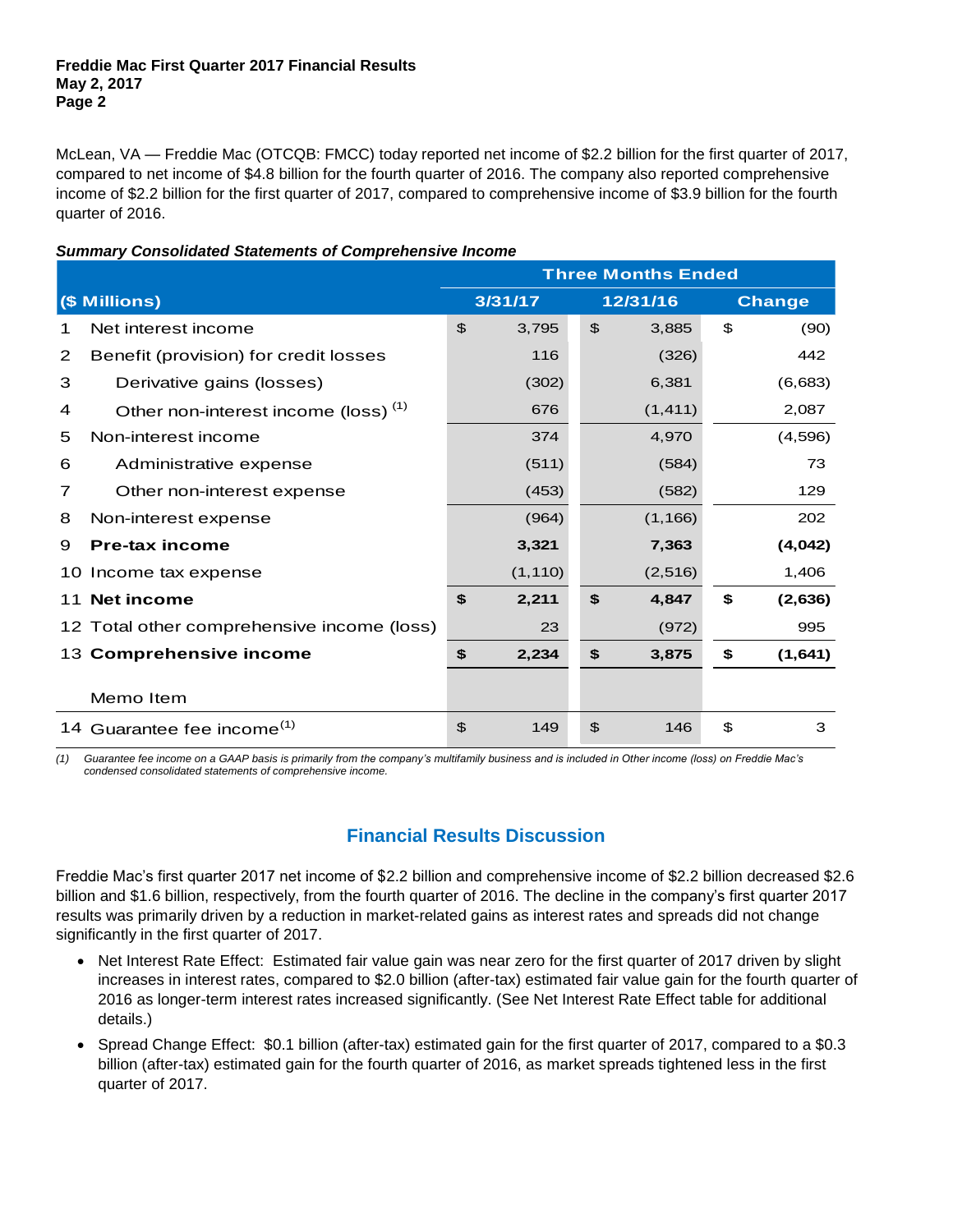McLean, VA — Freddie Mac (OTCQB: FMCC) today reported net income of \$2.2 billion for the first quarter of 2017, compared to net income of \$4.8 billion for the fourth quarter of 2016. The company also reported comprehensive income of \$2.2 billion for the first quarter of 2017, compared to comprehensive income of \$3.9 billion for the fourth quarter of 2016.

|    |                                                 | <b>Three Months Ended</b> |          |                |          |               |         |  |  |
|----|-------------------------------------------------|---------------------------|----------|----------------|----------|---------------|---------|--|--|
|    | (\$ Millions)                                   |                           | 3/31/17  |                | 12/31/16 | <b>Change</b> |         |  |  |
| 1  | Net interest income                             | $\mathfrak{F}$            | 3,795    | $\frac{1}{2}$  | 3,885    | \$            | (90)    |  |  |
| 2  | Benefit (provision) for credit losses           |                           | 116      |                | (326)    |               | 442     |  |  |
| 3  | Derivative gains (losses)                       |                           | (302)    |                | 6,381    |               | (6,683) |  |  |
| 4  | Other non-interest income (loss) <sup>(1)</sup> |                           | 676      |                | (1, 411) |               | 2,087   |  |  |
| 5  | Non-interest income                             |                           | 374      |                | 4,970    |               | (4,596) |  |  |
| 6  | Administrative expense                          |                           | (511)    |                | (584)    |               | 73      |  |  |
| 7  | Other non-interest expense                      |                           | (453)    |                | (582)    |               | 129     |  |  |
| 8  | Non-interest expense                            |                           | (964)    |                | (1, 166) |               | 202     |  |  |
| 9  | <b>Pre-tax income</b>                           |                           | 3,321    |                | 7,363    |               | (4,042) |  |  |
| 10 | Income tax expense                              |                           | (1, 110) |                | (2, 516) |               | 1,406   |  |  |
| 11 | <b>Net income</b>                               | \$                        | 2,211    | \$             | 4,847    | \$            | (2,636) |  |  |
|    | 12 Total other comprehensive income (loss)      |                           | 23       |                | (972)    |               | 995     |  |  |
| 13 | <b>Comprehensive income</b>                     | \$                        | 2,234    | \$             | 3,875    | \$            | (1,641) |  |  |
|    | Memo Item                                       |                           |          |                |          |               |         |  |  |
| 14 | Guarantee fee income <sup>(1)</sup>             | $\mathfrak{L}$            | 149      | $\mathfrak{L}$ | 146      | \$            | 3       |  |  |

### *Summary Consolidated Statements of Comprehensive Income*

*(1) Guarantee fee income on a GAAP basis is primarily from the company's multifamily business and is included in Other income (loss) on Freddie Mac's condensed consolidated statements of comprehensive income.* 

# **Financial Results Discussion**

Freddie Mac's first quarter 2017 net income of \$2.2 billion and comprehensive income of \$2.2 billion decreased \$2.6 billion and \$1.6 billion, respectively, from the fourth quarter of 2016. The decline in the company's first quarter 2017 results was primarily driven by a reduction in market-related gains as interest rates and spreads did not change significantly in the first quarter of 2017.

- Net Interest Rate Effect: Estimated fair value gain was near zero for the first quarter of 2017 driven by slight increases in interest rates, compared to \$2.0 billion (after-tax) estimated fair value gain for the fourth quarter of 2016 as longer-term interest rates increased significantly. (See Net Interest Rate Effect table for additional details.)
- Spread Change Effect: \$0.1 billion (after-tax) estimated gain for the first quarter of 2017, compared to a \$0.3 billion (after-tax) estimated gain for the fourth quarter of 2016, as market spreads tightened less in the first quarter of 2017.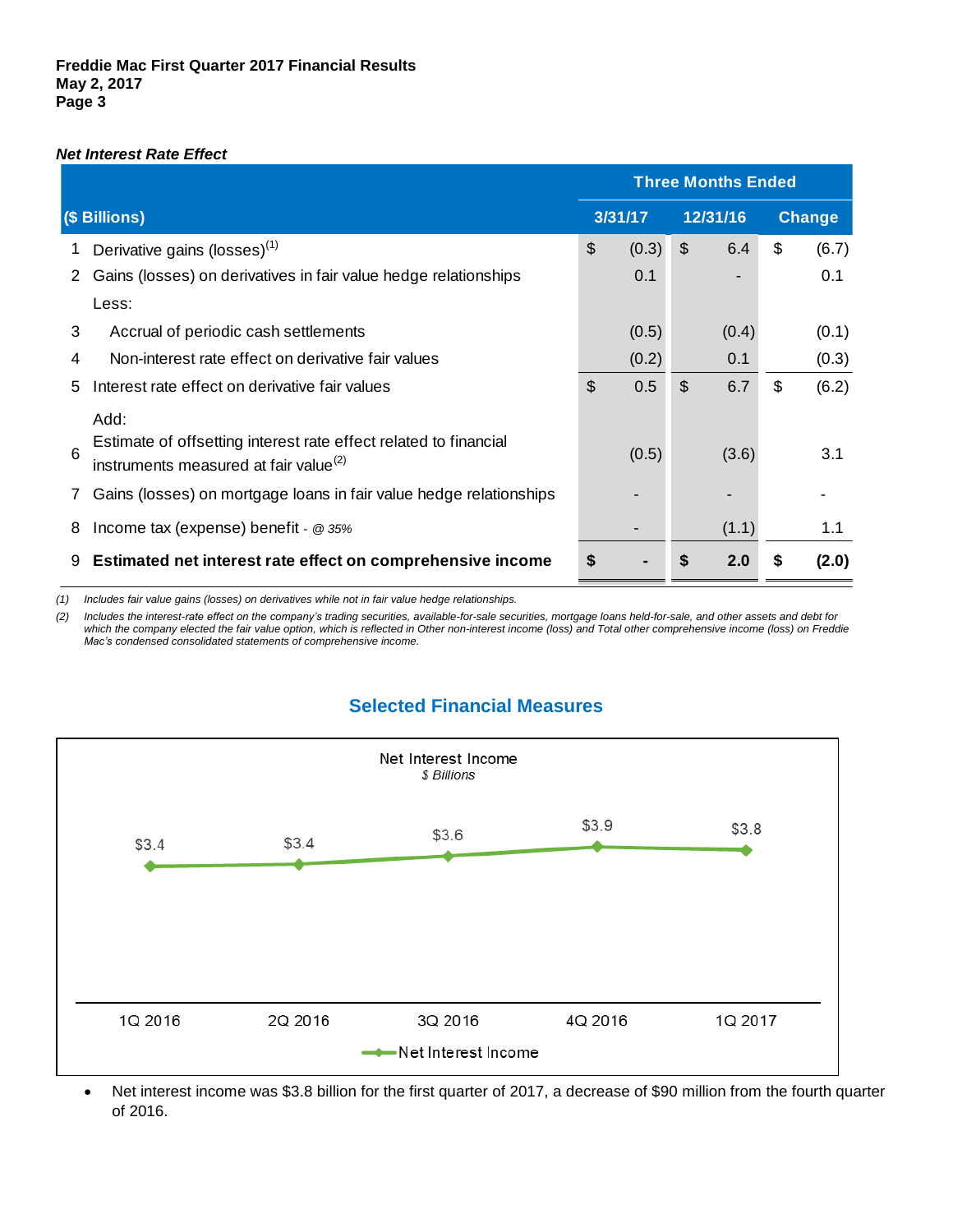### *Net Interest Rate Effect*

|                                                                                                                            | <b>Three Months Ended</b> |         |                      |          |    |               |
|----------------------------------------------------------------------------------------------------------------------------|---------------------------|---------|----------------------|----------|----|---------------|
| (\$ Billions)                                                                                                              |                           | 3/31/17 |                      | 12/31/16 |    | <b>Change</b> |
| Derivative gains (losses) <sup>(1)</sup><br>1                                                                              | \$                        | (0.3)   | $\sqrt[6]{3}$        | 6.4      | \$ | (6.7)         |
| Gains (losses) on derivatives in fair value hedge relationships                                                            |                           | 0.1     |                      |          |    | 0.1           |
| Less:                                                                                                                      |                           |         |                      |          |    |               |
| 3<br>Accrual of periodic cash settlements                                                                                  |                           | (0.5)   |                      | (0.4)    |    | (0.1)         |
| Non-interest rate effect on derivative fair values<br>4                                                                    |                           | (0.2)   |                      | 0.1      |    | (0.3)         |
| Interest rate effect on derivative fair values<br>5                                                                        | \$                        | 0.5     | $\mathcal{S}$<br>6.7 |          | \$ | (6.2)         |
| Add:                                                                                                                       |                           |         |                      |          |    |               |
| Estimate of offsetting interest rate effect related to financial<br>6<br>instruments measured at fair value <sup>(2)</sup> |                           | (0.5)   |                      | (3.6)    |    | 3.1           |
| Gains (losses) on mortgage loans in fair value hedge relationships                                                         |                           |         |                      |          |    |               |
| Income tax (expense) benefit - @ 35%<br>8                                                                                  |                           |         |                      | (1.1)    |    | 1.1           |
| Estimated net interest rate effect on comprehensive income<br>9                                                            | \$                        |         | \$                   | 2.0      | S  | (2.0)         |

*(1) Includes fair value gains (losses) on derivatives while not in fair value hedge relationships.*

*(2) Includes the interest-rate effect on the company's trading securities, available-for-sale securities, mortgage loans held-for-sale, and other assets and debt for which the company elected the fair value option, which is reflected in Other non-interest income (loss) and Total other comprehensive income (loss) on Freddie Mac's condensed consolidated statements of comprehensive income.*

# **Selected Financial Measures**



 Net interest income was \$3.8 billion for the first quarter of 2017, a decrease of \$90 million from the fourth quarter of 2016.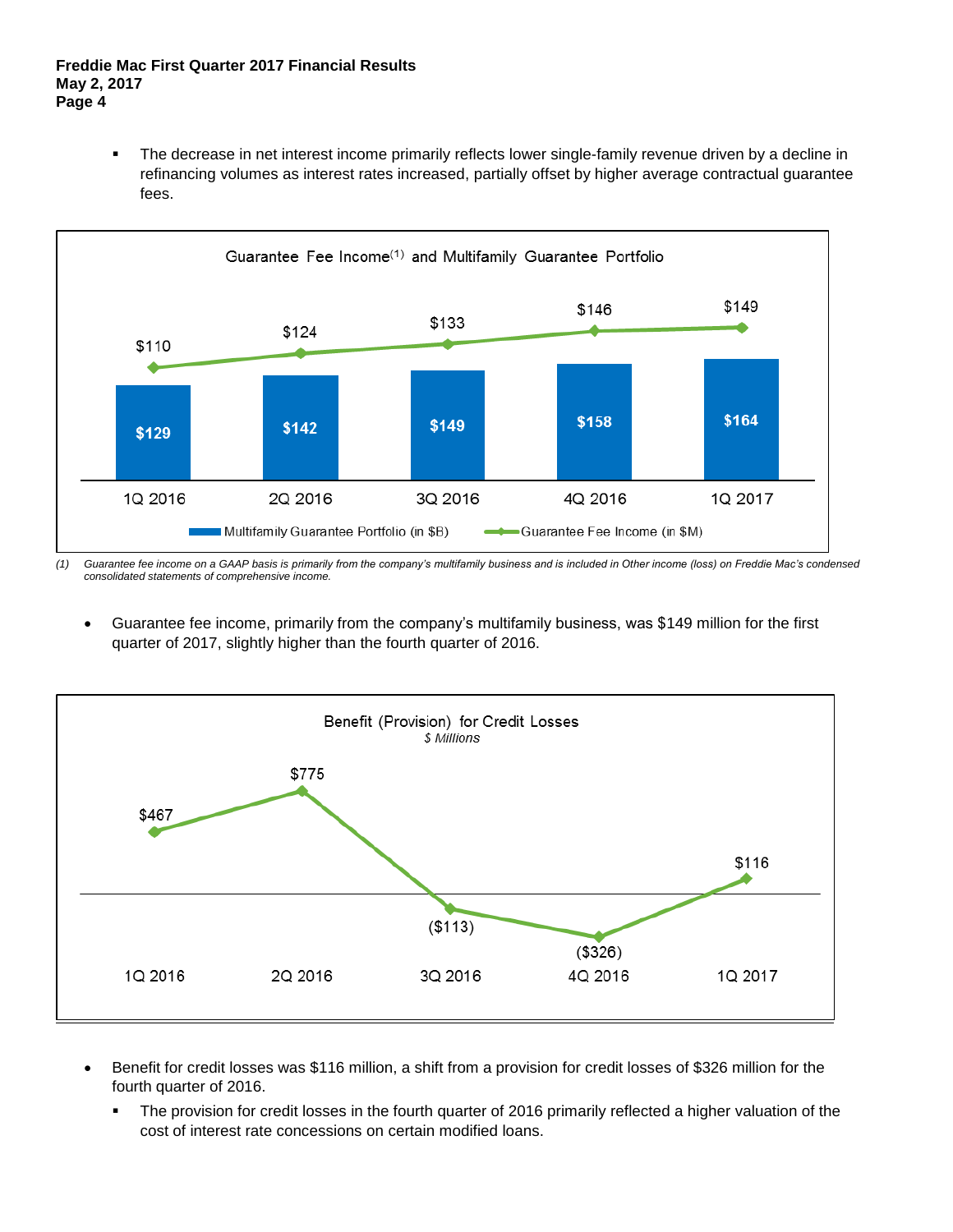The decrease in net interest income primarily reflects lower single-family revenue driven by a decline in refinancing volumes as interest rates increased, partially offset by higher average contractual guarantee fees.



*(1) Guarantee fee income on a GAAP basis is primarily from the company's multifamily business and is included in Other income (loss) on Freddie Mac's condensed consolidated statements of comprehensive income.*

 Guarantee fee income, primarily from the company's multifamily business, was \$149 million for the first quarter of 2017, slightly higher than the fourth quarter of 2016.



- Benefit for credit losses was \$116 million, a shift from a provision for credit losses of \$326 million for the fourth quarter of 2016.
	- The provision for credit losses in the fourth quarter of 2016 primarily reflected a higher valuation of the cost of interest rate concessions on certain modified loans.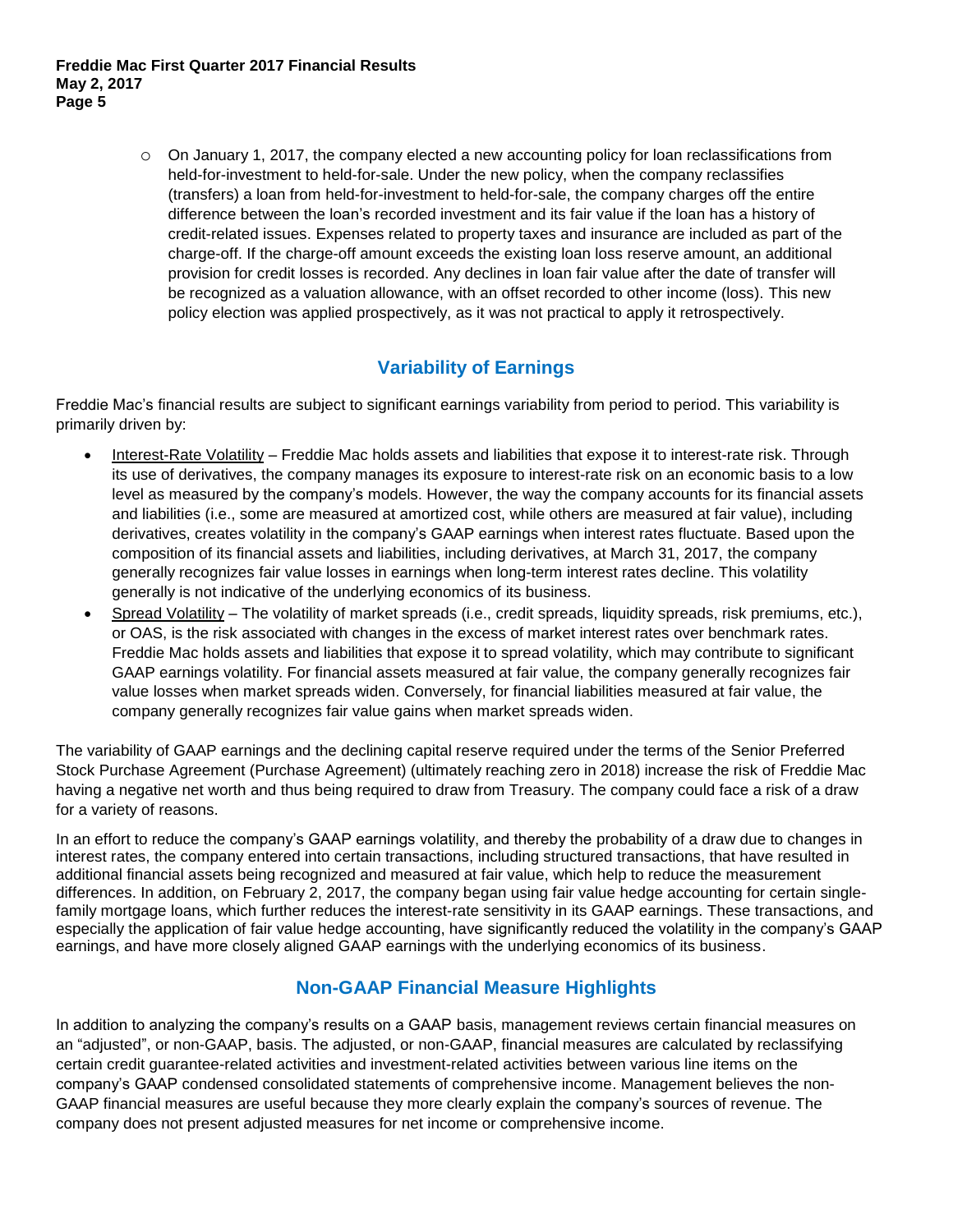$\circ$  On January 1, 2017, the company elected a new accounting policy for loan reclassifications from held-for-investment to held-for-sale. Under the new policy, when the company reclassifies (transfers) a loan from held-for-investment to held-for-sale, the company charges off the entire difference between the loan's recorded investment and its fair value if the loan has a history of credit-related issues. Expenses related to property taxes and insurance are included as part of the charge-off. If the charge-off amount exceeds the existing loan loss reserve amount, an additional provision for credit losses is recorded. Any declines in loan fair value after the date of transfer will be recognized as a valuation allowance, with an offset recorded to other income (loss). This new policy election was applied prospectively, as it was not practical to apply it retrospectively.

# **Variability of Earnings**

Freddie Mac's financial results are subject to significant earnings variability from period to period. This variability is primarily driven by:

- Interest-Rate Volatility Freddie Mac holds assets and liabilities that expose it to interest-rate risk. Through its use of derivatives, the company manages its exposure to interest-rate risk on an economic basis to a low level as measured by the company's models. However, the way the company accounts for its financial assets and liabilities (i.e., some are measured at amortized cost, while others are measured at fair value), including derivatives, creates volatility in the company's GAAP earnings when interest rates fluctuate. Based upon the composition of its financial assets and liabilities, including derivatives, at March 31, 2017, the company generally recognizes fair value losses in earnings when long-term interest rates decline. This volatility generally is not indicative of the underlying economics of its business.
- Spread Volatility The volatility of market spreads (i.e., credit spreads, liquidity spreads, risk premiums, etc.), or OAS, is the risk associated with changes in the excess of market interest rates over benchmark rates. Freddie Mac holds assets and liabilities that expose it to spread volatility, which may contribute to significant GAAP earnings volatility. For financial assets measured at fair value, the company generally recognizes fair value losses when market spreads widen. Conversely, for financial liabilities measured at fair value, the company generally recognizes fair value gains when market spreads widen.

The variability of GAAP earnings and the declining capital reserve required under the terms of the Senior Preferred Stock Purchase Agreement (Purchase Agreement) (ultimately reaching zero in 2018) increase the risk of Freddie Mac having a negative net worth and thus being required to draw from Treasury. The company could face a risk of a draw for a variety of reasons.

In an effort to reduce the company's GAAP earnings volatility, and thereby the probability of a draw due to changes in interest rates, the company entered into certain transactions, including structured transactions, that have resulted in additional financial assets being recognized and measured at fair value, which help to reduce the measurement differences. In addition, on February 2, 2017, the company began using fair value hedge accounting for certain singlefamily mortgage loans, which further reduces the interest-rate sensitivity in its GAAP earnings. These transactions, and especially the application of fair value hedge accounting, have significantly reduced the volatility in the company's GAAP earnings, and have more closely aligned GAAP earnings with the underlying economics of its business.

# **Non-GAAP Financial Measure Highlights**

In addition to analyzing the company's results on a GAAP basis, management reviews certain financial measures on an "adjusted", or non-GAAP, basis. The adjusted, or non-GAAP, financial measures are calculated by reclassifying certain credit guarantee-related activities and investment-related activities between various line items on the company's GAAP condensed consolidated statements of comprehensive income. Management believes the non-GAAP financial measures are useful because they more clearly explain the company's sources of revenue. The company does not present adjusted measures for net income or comprehensive income.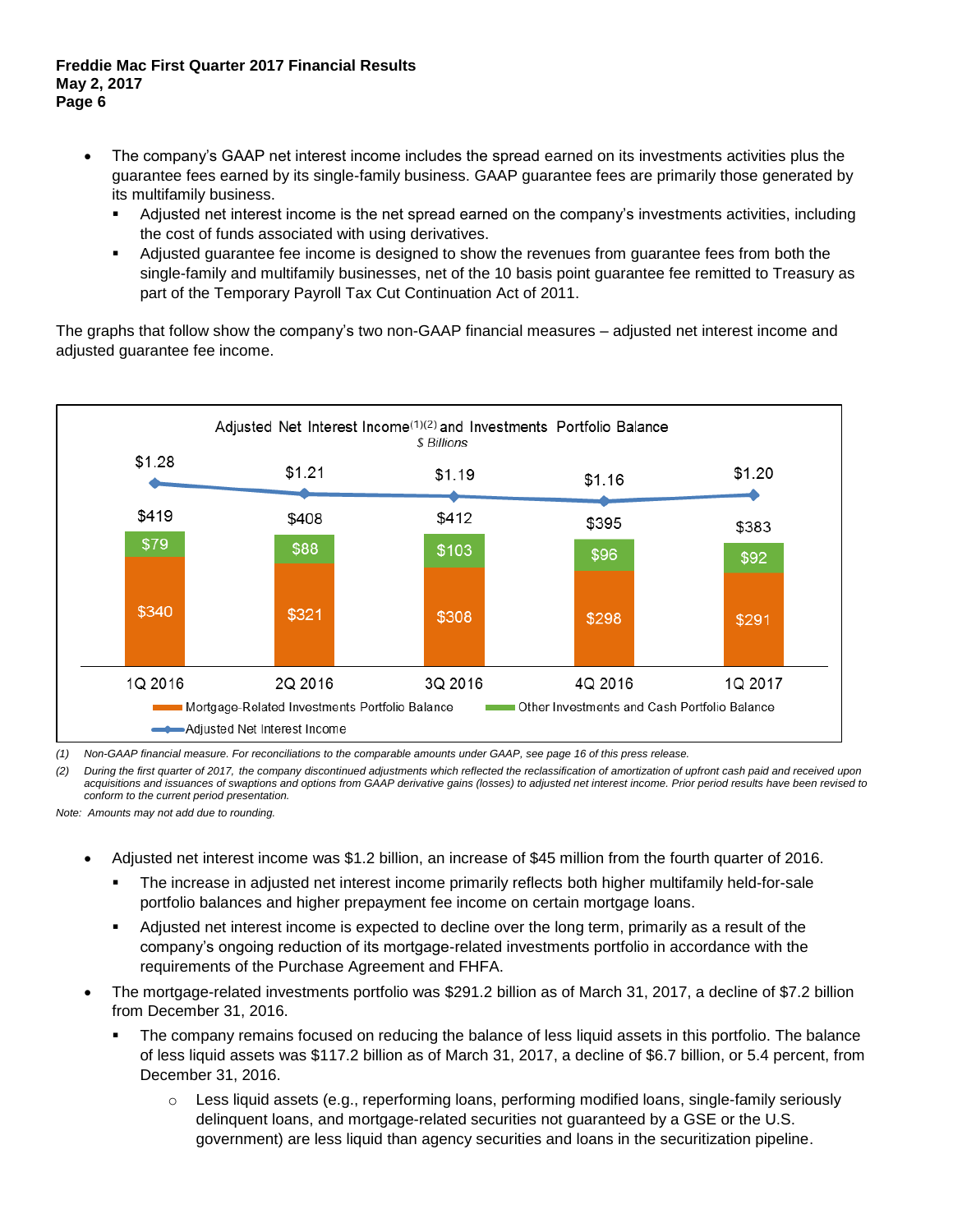#### **Freddie Mac First Quarter 2017 Financial Results May 2, 2017 Page 6**

- The company's GAAP net interest income includes the spread earned on its investments activities plus the guarantee fees earned by its single-family business. GAAP guarantee fees are primarily those generated by its multifamily business.
	- Adjusted net interest income is the net spread earned on the company's investments activities, including the cost of funds associated with using derivatives.
	- Adjusted guarantee fee income is designed to show the revenues from guarantee fees from both the single-family and multifamily businesses, net of the 10 basis point guarantee fee remitted to Treasury as part of the Temporary Payroll Tax Cut Continuation Act of 2011.

The graphs that follow show the company's two non-GAAP financial measures – adjusted net interest income and adjusted guarantee fee income.



*(1) Non-GAAP financial measure. For reconciliations to the comparable amounts under GAAP, see page 16 of this press release.* 

*(2) During the first quarter of 2017, the company discontinued adjustments which reflected the reclassification of amortization of upfront cash paid and received upon acquisitions and issuances of swaptions and options from GAAP derivative gains (losses) to adjusted net interest income. Prior period results have been revised to conform to the current period presentation.*

- Adjusted net interest income was \$1.2 billion, an increase of \$45 million from the fourth quarter of 2016.
	- The increase in adjusted net interest income primarily reflects both higher multifamily held-for-sale portfolio balances and higher prepayment fee income on certain mortgage loans.
	- Adjusted net interest income is expected to decline over the long term, primarily as a result of the company's ongoing reduction of its mortgage-related investments portfolio in accordance with the requirements of the Purchase Agreement and FHFA.
- The mortgage-related investments portfolio was \$291.2 billion as of March 31, 2017, a decline of \$7.2 billion from December 31, 2016.
	- The company remains focused on reducing the balance of less liquid assets in this portfolio. The balance of less liquid assets was \$117.2 billion as of March 31, 2017, a decline of \$6.7 billion, or 5.4 percent, from December 31, 2016.
		- $\circ$  Less liquid assets (e.g., reperforming loans, performing modified loans, single-family seriously delinquent loans, and mortgage-related securities not guaranteed by a GSE or the U.S. government) are less liquid than agency securities and loans in the securitization pipeline.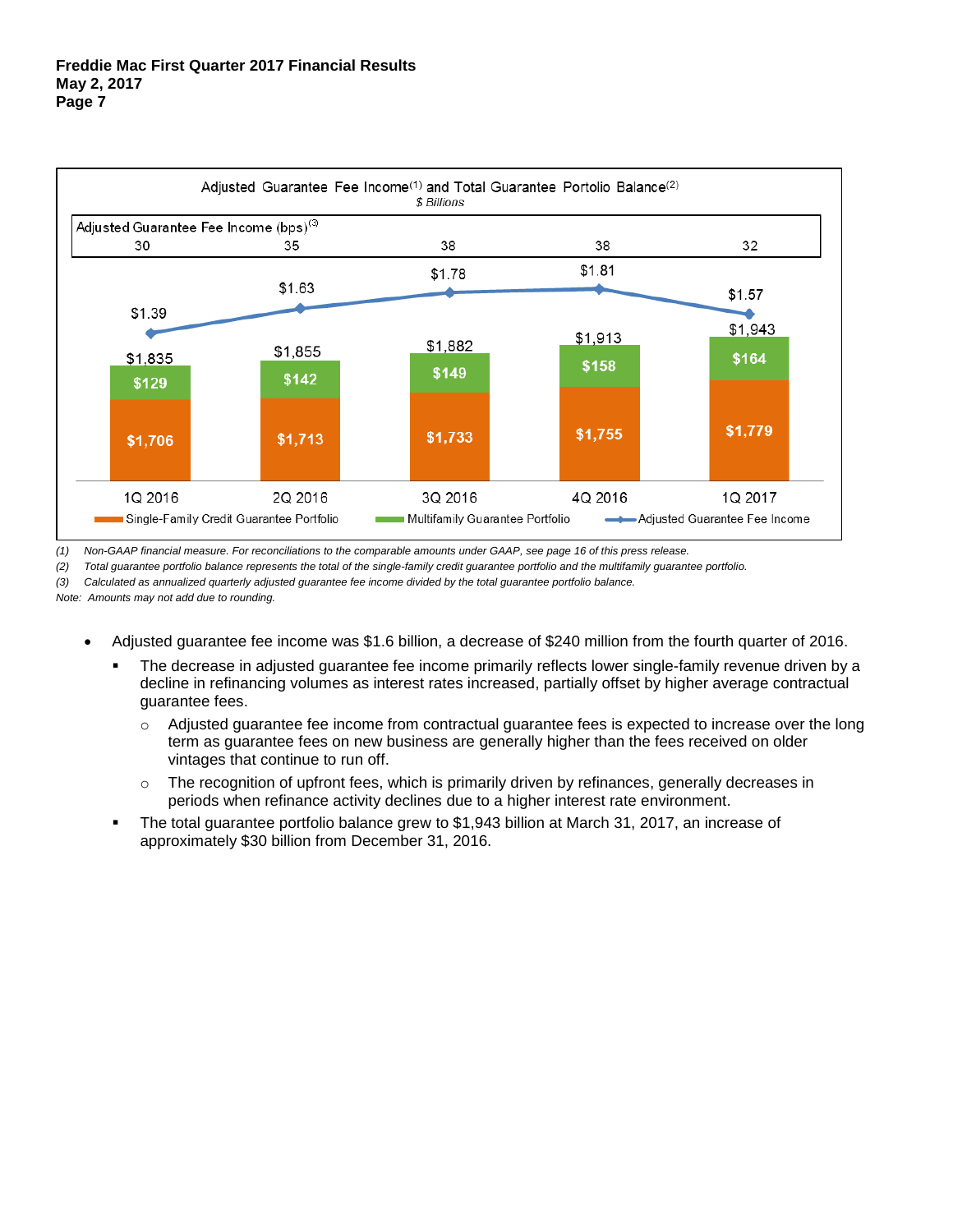

*(1) Non-GAAP financial measure. For reconciliations to the comparable amounts under GAAP, see page 16 of this press release.* 

*(2) Total guarantee portfolio balance represents the total of the single-family credit guarantee portfolio and the multifamily guarantee portfolio.*

*(3) Calculated as annualized quarterly adjusted guarantee fee income divided by the total guarantee portfolio balance.*

- Adjusted guarantee fee income was \$1.6 billion, a decrease of \$240 million from the fourth quarter of 2016.
	- The decrease in adjusted guarantee fee income primarily reflects lower single-family revenue driven by a decline in refinancing volumes as interest rates increased, partially offset by higher average contractual guarantee fees.
		- $\circ$  Adjusted guarantee fee income from contractual guarantee fees is expected to increase over the long term as guarantee fees on new business are generally higher than the fees received on older vintages that continue to run off.
		- $\circ$  The recognition of upfront fees, which is primarily driven by refinances, generally decreases in periods when refinance activity declines due to a higher interest rate environment.
	- The total guarantee portfolio balance grew to \$1,943 billion at March 31, 2017, an increase of approximately \$30 billion from December 31, 2016.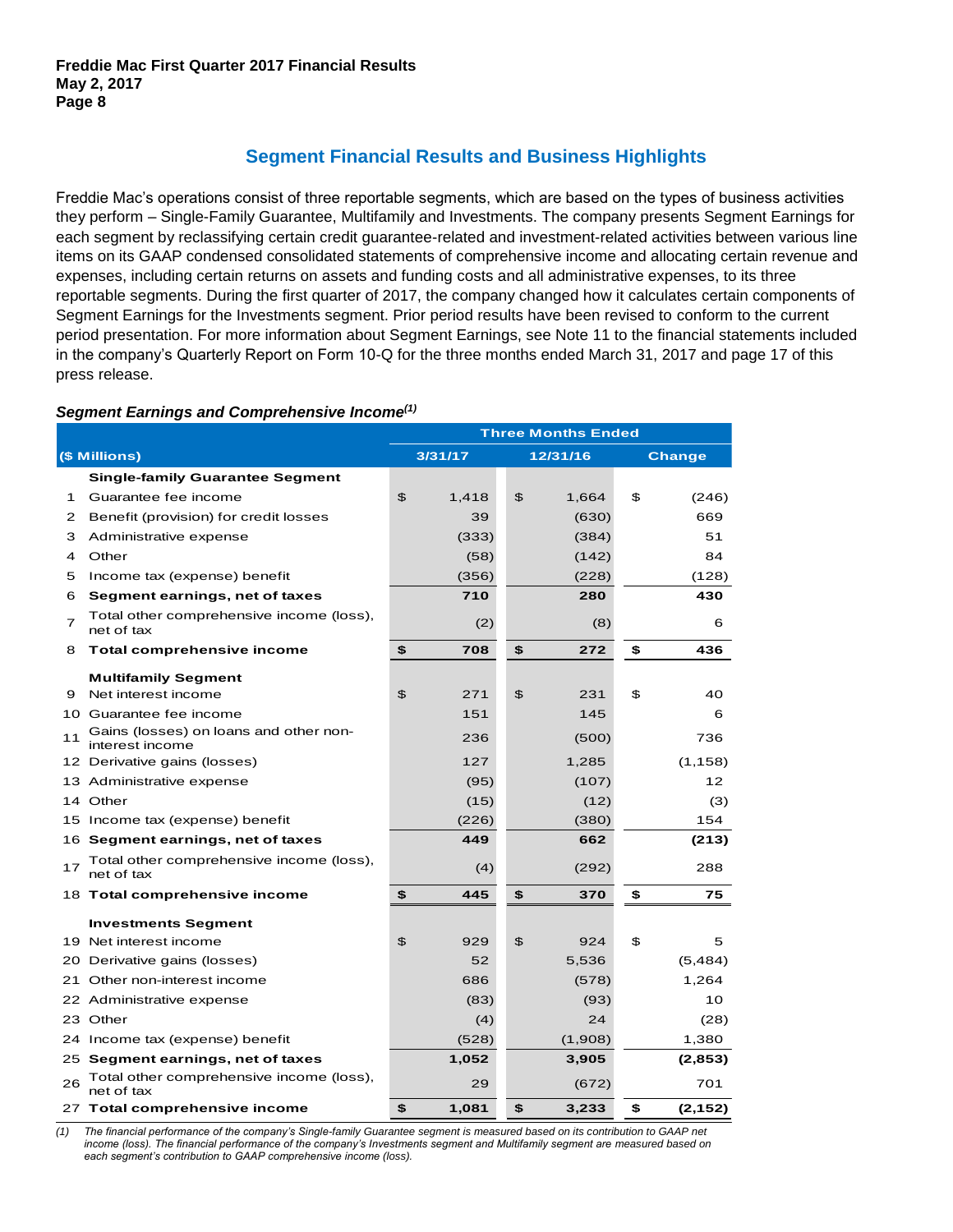# **Segment Financial Results and Business Highlights**

Freddie Mac's operations consist of three reportable segments, which are based on the types of business activities they perform – Single-Family Guarantee, Multifamily and Investments. The company presents Segment Earnings for each segment by reclassifying certain credit guarantee-related and investment-related activities between various line items on its GAAP condensed consolidated statements of comprehensive income and allocating certain revenue and expenses, including certain returns on assets and funding costs and all administrative expenses, to its three reportable segments. During the first quarter of 2017, the company changed how it calculates certain components of Segment Earnings for the Investments segment. Prior period results have been revised to conform to the current period presentation. For more information about Segment Earnings, see Note 11 to the financial statements included in the company's Quarterly Report on Form 10-Q for the three months ended March 31, 2017 and page 17 of this press release.

### *Segment Earnings and Comprehensive Income(1)*

|                |                                                           | <b>Three Months Ended</b> |         |    |          |    |               |  |  |  |  |
|----------------|-----------------------------------------------------------|---------------------------|---------|----|----------|----|---------------|--|--|--|--|
|                | (\$ Millions)                                             |                           | 3/31/17 |    | 12/31/16 |    | <b>Change</b> |  |  |  |  |
|                | <b>Single-family Guarantee Segment</b>                    |                           |         |    |          |    |               |  |  |  |  |
| 1              | Guarantee fee income                                      | \$                        | 1,418   | \$ | 1,664    | \$ | (246)         |  |  |  |  |
| 2              | Benefit (provision) for credit losses                     |                           | 39      |    | (630)    |    | 669           |  |  |  |  |
| 3              | Administrative expense                                    |                           | (333)   |    | (384)    |    | 51            |  |  |  |  |
| 4              | Other                                                     |                           | (58)    |    | (142)    |    | 84            |  |  |  |  |
| 5              | Income tax (expense) benefit                              |                           | (356)   |    | (228)    |    | (128)         |  |  |  |  |
| 6              | Segment earnings, net of taxes                            |                           | 710     |    | 280      |    | 430           |  |  |  |  |
| $\overline{7}$ | Total other comprehensive income (loss),<br>net of tax    |                           | (2)     |    | (8)      |    | 6             |  |  |  |  |
| 8              | Total comprehensive income                                | \$                        | 708     | \$ | 272      | \$ | 436           |  |  |  |  |
|                | <b>Multifamily Segment</b>                                |                           |         |    |          |    |               |  |  |  |  |
| 9              | Net interest income                                       | $\mathfrak{P}$            | 271     | \$ | 231      | \$ | 40            |  |  |  |  |
|                | 10 Guarantee fee income                                   |                           | 151     |    | 145      |    | 6             |  |  |  |  |
| 11             | Gains (losses) on loans and other non-<br>interest income |                           | 236     |    | (500)    |    | 736           |  |  |  |  |
|                | 12 Derivative gains (losses)                              |                           | 127     |    | 1,285    |    | (1, 158)      |  |  |  |  |
|                | 13 Administrative expense                                 |                           | (95)    |    | (107)    |    | 12            |  |  |  |  |
|                | 14 Other                                                  |                           | (15)    |    | (12)     |    | (3)           |  |  |  |  |
|                | 15 Income tax (expense) benefit                           |                           | (226)   |    | (380)    |    | 154           |  |  |  |  |
|                | 16 Segment earnings, net of taxes                         |                           | 449     |    | 662      |    | (213)         |  |  |  |  |
| 17             | Total other comprehensive income (loss),<br>net of tax    |                           | (4)     |    | (292)    |    | 288           |  |  |  |  |
|                | 18 Total comprehensive income                             | \$                        | 445     | \$ | 370      | \$ | 75            |  |  |  |  |
|                | <b>Investments Segment</b>                                |                           |         |    |          |    |               |  |  |  |  |
|                | 19 Net interest income                                    | \$                        | 929     | \$ | 924      | \$ | 5             |  |  |  |  |
|                | 20 Derivative gains (losses)                              |                           | 52      |    | 5,536    |    | (5,484)       |  |  |  |  |
|                | 21 Other non-interest income                              |                           | 686     |    | (578)    |    | 1,264         |  |  |  |  |
|                | 22 Administrative expense                                 |                           | (83)    |    | (93)     |    | 10            |  |  |  |  |
|                | 23 Other                                                  |                           | (4)     |    | 24       |    | (28)          |  |  |  |  |
|                | 24 Income tax (expense) benefit                           |                           | (528)   |    | (1,908)  |    | 1,380         |  |  |  |  |
|                | 25 Segment earnings, net of taxes                         |                           | 1,052   |    | 3,905    |    | (2,853)       |  |  |  |  |
| 26             | Total other comprehensive income (loss),<br>net of tax    |                           | 29      |    | (672)    |    | 701           |  |  |  |  |
|                | 27 Total comprehensive income                             | \$                        | 1,081   | \$ | 3,233    | \$ | (2, 152)      |  |  |  |  |

*(1) The financial performance of the company's Single-family Guarantee segment is measured based on its contribution to GAAP net income (loss). The financial performance of the company's Investments segment and Multifamily segment are measured based on each segment's contribution to GAAP comprehensive income (loss).*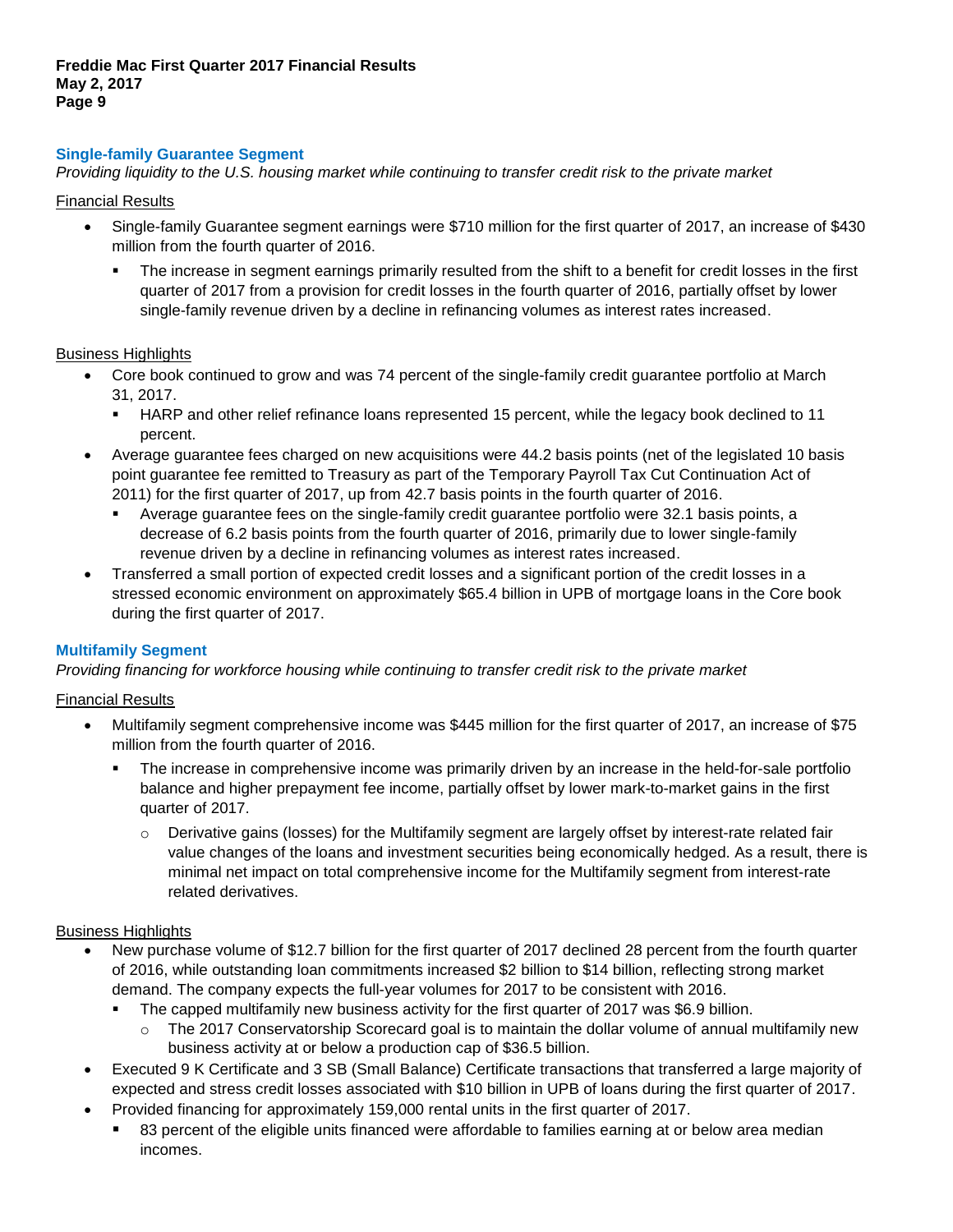### **Single-family Guarantee Segment**

*Providing liquidity to the U.S. housing market while continuing to transfer credit risk to the private market* 

#### Financial Results

- Single-family Guarantee segment earnings were \$710 million for the first quarter of 2017, an increase of \$430 million from the fourth quarter of 2016.
	- The increase in segment earnings primarily resulted from the shift to a benefit for credit losses in the first quarter of 2017 from a provision for credit losses in the fourth quarter of 2016, partially offset by lower single-family revenue driven by a decline in refinancing volumes as interest rates increased.

### Business Highlights

- Core book continued to grow and was 74 percent of the single-family credit guarantee portfolio at March 31, 2017.
	- HARP and other relief refinance loans represented 15 percent, while the legacy book declined to 11 percent.
- Average guarantee fees charged on new acquisitions were 44.2 basis points (net of the legislated 10 basis point guarantee fee remitted to Treasury as part of the Temporary Payroll Tax Cut Continuation Act of 2011) for the first quarter of 2017, up from 42.7 basis points in the fourth quarter of 2016.
	- Average guarantee fees on the single-family credit guarantee portfolio were 32.1 basis points, a decrease of 6.2 basis points from the fourth quarter of 2016, primarily due to lower single-family revenue driven by a decline in refinancing volumes as interest rates increased.
- Transferred a small portion of expected credit losses and a significant portion of the credit losses in a stressed economic environment on approximately \$65.4 billion in UPB of mortgage loans in the Core book during the first quarter of 2017.

### **Multifamily Segment**

*Providing financing for workforce housing while continuing to transfer credit risk to the private market*

#### Financial Results

- Multifamily segment comprehensive income was \$445 million for the first quarter of 2017, an increase of \$75 million from the fourth quarter of 2016.
	- The increase in comprehensive income was primarily driven by an increase in the held-for-sale portfolio balance and higher prepayment fee income, partially offset by lower mark-to-market gains in the first quarter of 2017.
		- Derivative gains (losses) for the Multifamily segment are largely offset by interest-rate related fair value changes of the loans and investment securities being economically hedged. As a result, there is minimal net impact on total comprehensive income for the Multifamily segment from interest-rate related derivatives.

#### Business Highlights

- New purchase volume of \$12.7 billion for the first quarter of 2017 declined 28 percent from the fourth quarter of 2016, while outstanding loan commitments increased \$2 billion to \$14 billion, reflecting strong market demand. The company expects the full-year volumes for 2017 to be consistent with 2016.
	- The capped multifamily new business activity for the first quarter of 2017 was \$6.9 billion.
		- $\circ$  The 2017 Conservatorship Scorecard goal is to maintain the dollar volume of annual multifamily new business activity at or below a production cap of \$36.5 billion.
- Executed 9 K Certificate and 3 SB (Small Balance) Certificate transactions that transferred a large majority of expected and stress credit losses associated with \$10 billion in UPB of loans during the first quarter of 2017.
- Provided financing for approximately 159,000 rental units in the first quarter of 2017.
	- 83 percent of the eligible units financed were affordable to families earning at or below area median incomes.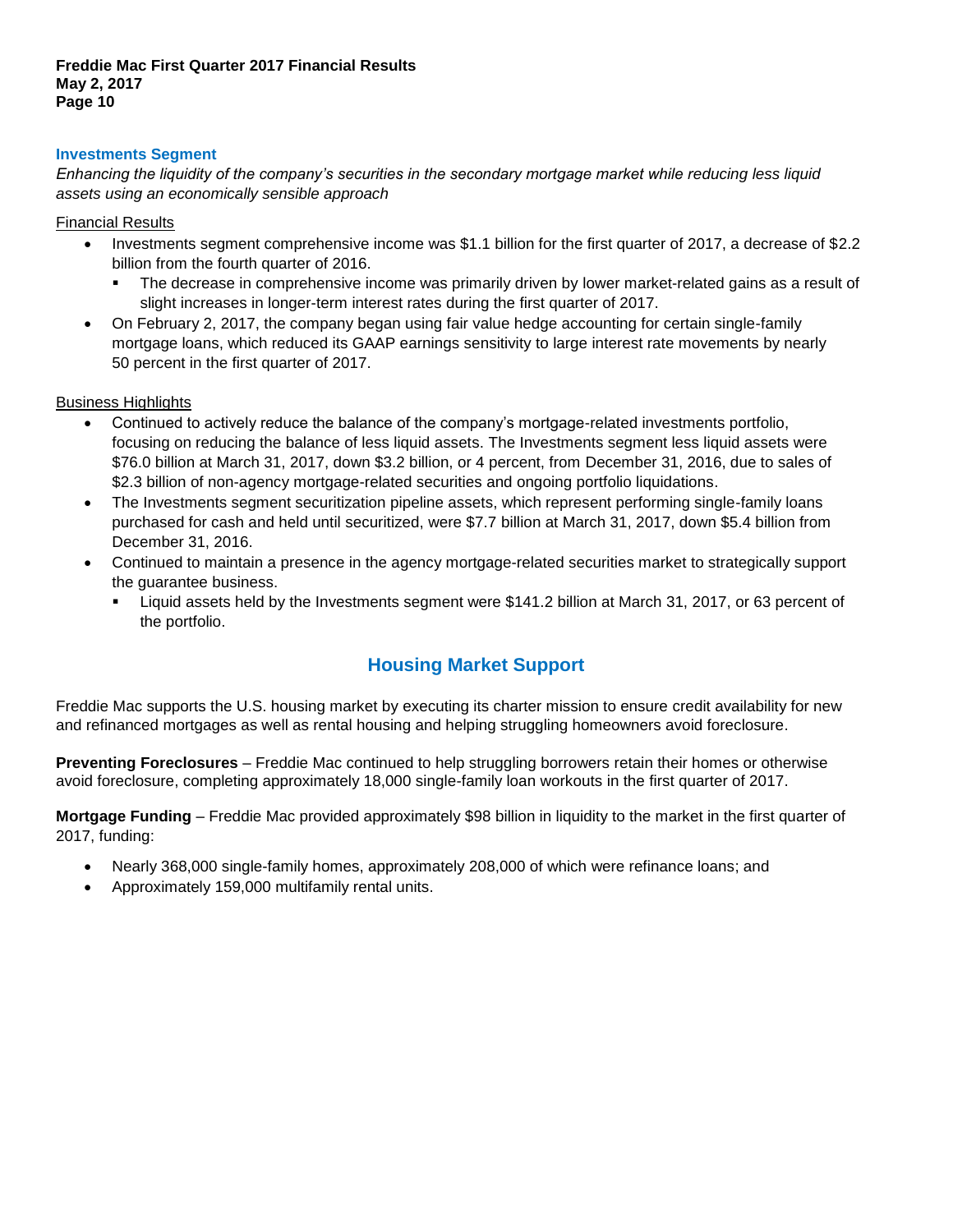### **Investments Segment**

*Enhancing the liquidity of the company's securities in the secondary mortgage market while reducing less liquid assets using an economically sensible approach*

Financial Results

- Investments segment comprehensive income was \$1.1 billion for the first quarter of 2017, a decrease of \$2.2 billion from the fourth quarter of 2016.
	- The decrease in comprehensive income was primarily driven by lower market-related gains as a result of slight increases in longer-term interest rates during the first quarter of 2017.
- On February 2, 2017, the company began using fair value hedge accounting for certain single-family mortgage loans, which reduced its GAAP earnings sensitivity to large interest rate movements by nearly 50 percent in the first quarter of 2017.

### Business Highlights

- Continued to actively reduce the balance of the company's mortgage-related investments portfolio, focusing on reducing the balance of less liquid assets. The Investments segment less liquid assets were \$76.0 billion at March 31, 2017, down \$3.2 billion, or 4 percent, from December 31, 2016, due to sales of \$2.3 billion of non-agency mortgage-related securities and ongoing portfolio liquidations.
- The Investments segment securitization pipeline assets, which represent performing single-family loans purchased for cash and held until securitized, were \$7.7 billion at March 31, 2017, down \$5.4 billion from December 31, 2016.
- Continued to maintain a presence in the agency mortgage-related securities market to strategically support the guarantee business.
	- Liquid assets held by the Investments segment were \$141.2 billion at March 31, 2017, or 63 percent of the portfolio.

### **Housing Market Support**

Freddie Mac supports the U.S. housing market by executing its charter mission to ensure credit availability for new and refinanced mortgages as well as rental housing and helping struggling homeowners avoid foreclosure.

**Preventing Foreclosures** – Freddie Mac continued to help struggling borrowers retain their homes or otherwise avoid foreclosure, completing approximately 18,000 single-family loan workouts in the first quarter of 2017.

**Mortgage Funding** – Freddie Mac provided approximately \$98 billion in liquidity to the market in the first quarter of 2017, funding:

- Nearly 368,000 single-family homes, approximately 208,000 of which were refinance loans; and
- Approximately 159,000 multifamily rental units.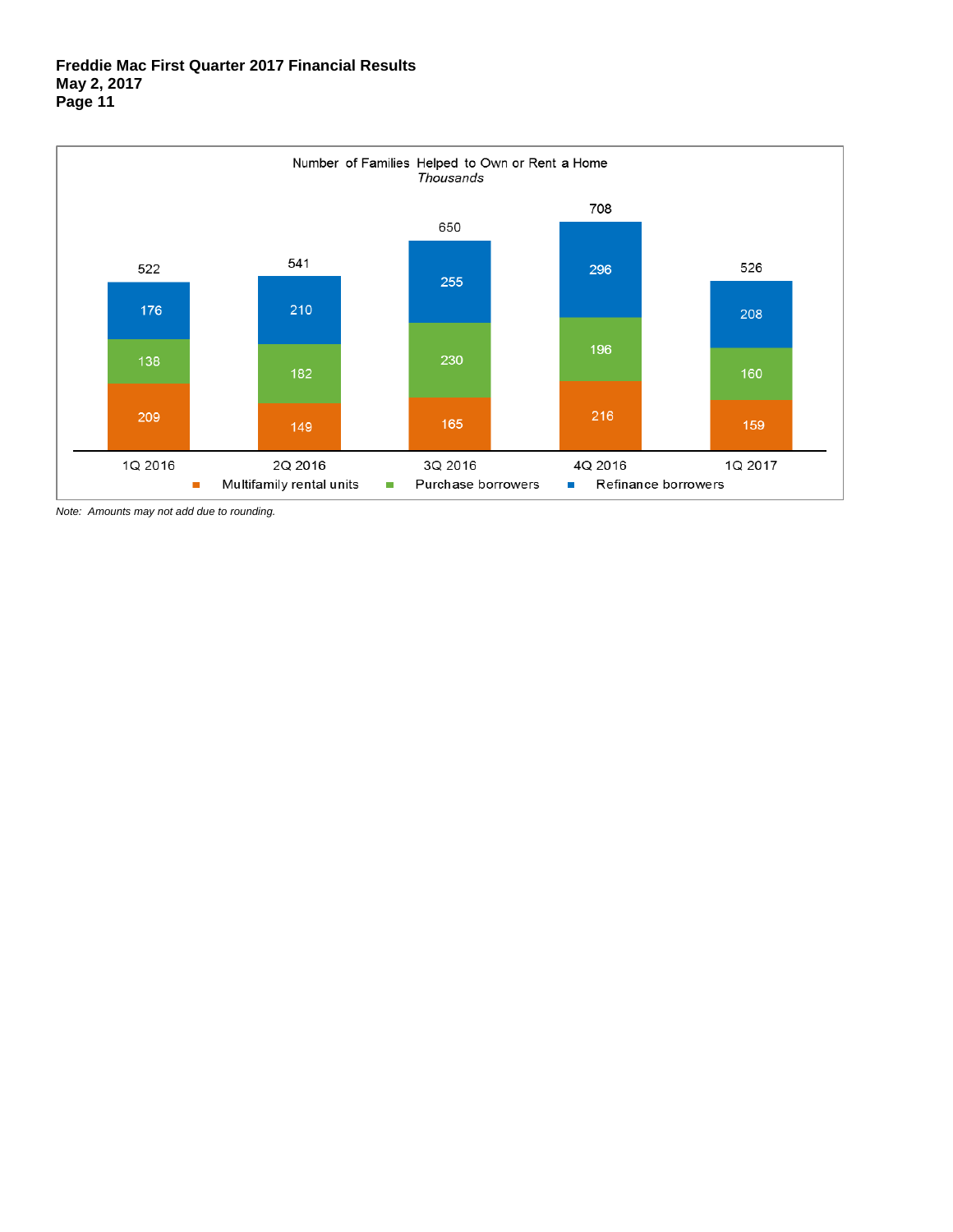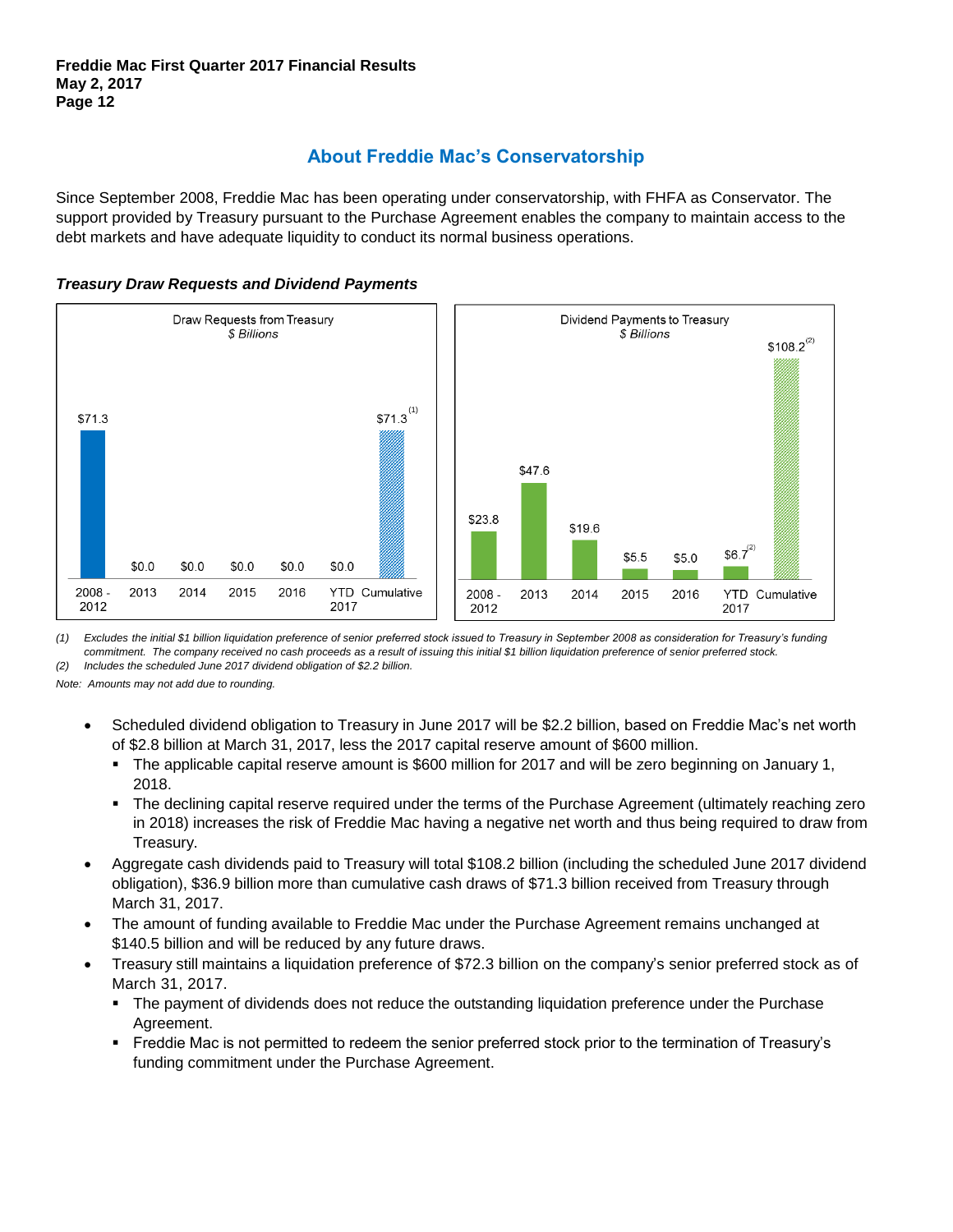# **About Freddie Mac's Conservatorship**

Since September 2008, Freddie Mac has been operating under conservatorship, with FHFA as Conservator. The support provided by Treasury pursuant to the Purchase Agreement enables the company to maintain access to the debt markets and have adequate liquidity to conduct its normal business operations.





*(1) Excludes the initial \$1 billion liquidation preference of senior preferred stock issued to Treasury in September 2008 as consideration for Treasury's funding commitment. The company received no cash proceeds as a result of issuing this initial \$1 billion liquidation preference of senior preferred stock. (2) Includes the scheduled June 2017 dividend obligation of \$2.2 billion.*

- Scheduled dividend obligation to Treasury in June 2017 will be \$2.2 billion, based on Freddie Mac's net worth of \$2.8 billion at March 31, 2017, less the 2017 capital reserve amount of \$600 million.
	- The applicable capital reserve amount is \$600 million for 2017 and will be zero beginning on January 1, 2018.
	- The declining capital reserve required under the terms of the Purchase Agreement (ultimately reaching zero in 2018) increases the risk of Freddie Mac having a negative net worth and thus being required to draw from Treasury.
- Aggregate cash dividends paid to Treasury will total \$108.2 billion (including the scheduled June 2017 dividend obligation), \$36.9 billion more than cumulative cash draws of \$71.3 billion received from Treasury through March 31, 2017.
- The amount of funding available to Freddie Mac under the Purchase Agreement remains unchanged at \$140.5 billion and will be reduced by any future draws.
- Treasury still maintains a liquidation preference of \$72.3 billion on the company's senior preferred stock as of March 31, 2017.
	- The payment of dividends does not reduce the outstanding liquidation preference under the Purchase Agreement.
	- Freddie Mac is not permitted to redeem the senior preferred stock prior to the termination of Treasury's funding commitment under the Purchase Agreement.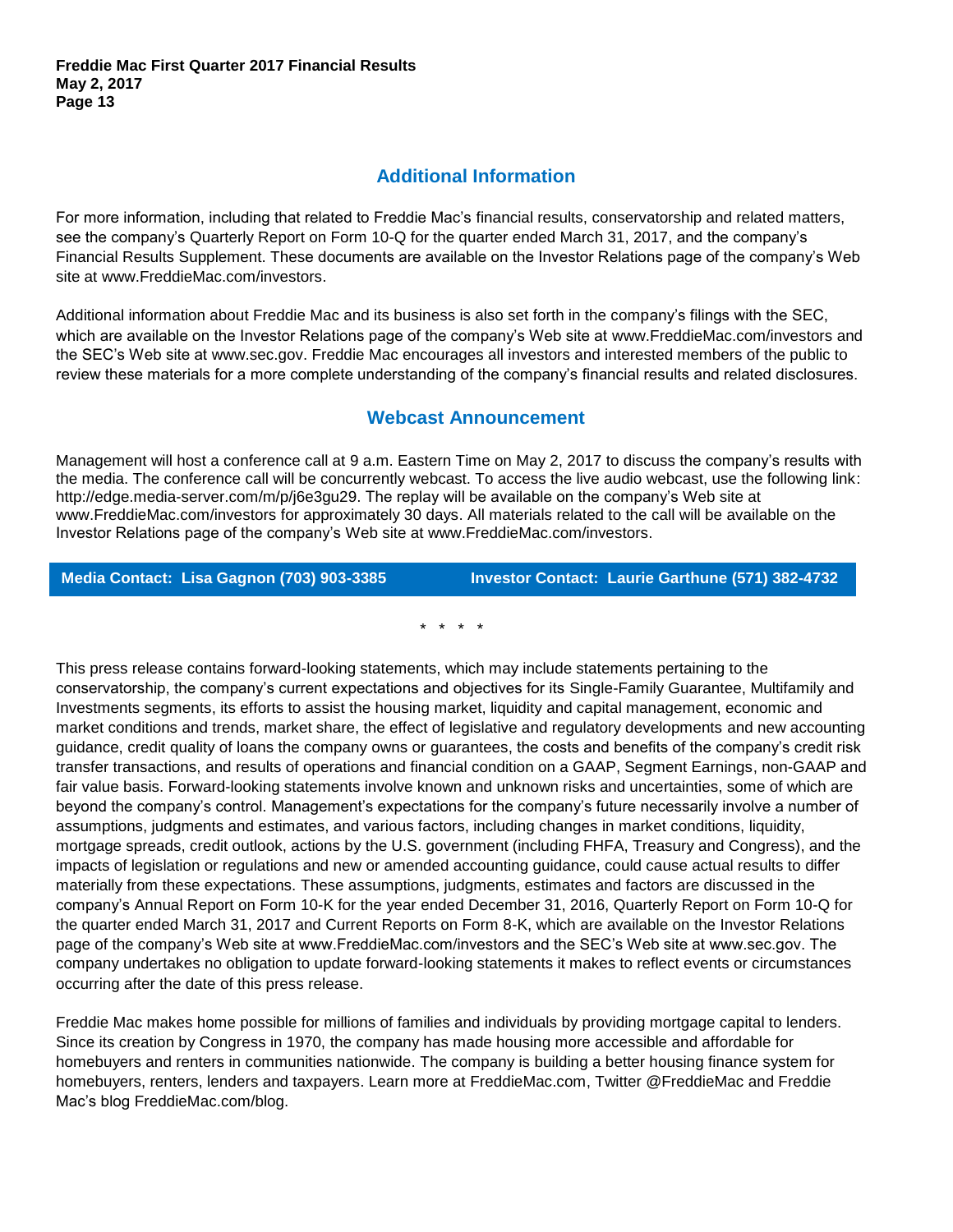## **Additional Information**

For more information, including that related to Freddie Mac's financial results, conservatorship and related matters, see the company's Quarterly Report on Form 10-Q for the quarter ended March 31, 2017, and the company's Financial Results Supplement. These documents are available on the Investor Relations page of the company's Web site at [www.FreddieMac.com/investors.](http://www.freddiemac.com/investors)

Additional information about Freddie Mac and its business is also set forth in the company's filings with the SEC, which are available on the Investor Relations page of the company's Web site at [www.FreddieMac.com/investors](http://www.freddiemac.com/investors) and the SEC's Web site at [www.sec.gov.](http://www.sec.gov/) Freddie Mac encourages all investors and interested members of the public to review these materials for a more complete understanding of the company's financial results and related disclosures.

### **Webcast Announcement**

Management will host a conference call at 9 a.m. Eastern Time on May 2, 2017 to discuss the company's results with the media. The conference call will be concurrently webcast. To access the live audio webcast, use the following link: http://edge.media-server.com/m/p/j6e3gu29. The replay will be available on the company's Web site at [www.FreddieMac.com/investors](http://www.freddiemac.com/investors) for approximately 30 days. All materials related to the call will be available on the Investor Relations page of the company's Web site at www.FreddieMac.com/investors.

**Media Contact: Lisa Gagnon (703) 903-3385 Investor Contact: Laurie Garthune (571) 382-4732**

\* \* \* \*

This press release contains forward-looking statements, which may include statements pertaining to the conservatorship, the company's current expectations and objectives for its Single-Family Guarantee, Multifamily and Investments segments, its efforts to assist the housing market, liquidity and capital management, economic and market conditions and trends, market share, the effect of legislative and regulatory developments and new accounting guidance, credit quality of loans the company owns or guarantees, the costs and benefits of the company's credit risk transfer transactions, and results of operations and financial condition on a GAAP, Segment Earnings, non-GAAP and fair value basis. Forward-looking statements involve known and unknown risks and uncertainties, some of which are beyond the company's control. Management's expectations for the company's future necessarily involve a number of assumptions, judgments and estimates, and various factors, including changes in market conditions, liquidity, mortgage spreads, credit outlook, actions by the U.S. government (including FHFA, Treasury and Congress), and the impacts of legislation or regulations and new or amended accounting guidance, could cause actual results to differ materially from these expectations. These assumptions, judgments, estimates and factors are discussed in the company's Annual Report on Form 10-K for the year ended December 31, 2016, Quarterly Report on Form 10-Q for the quarter ended March 31, 2017 and Current Reports on Form 8-K, which are available on the Investor Relations page of the company's Web site at www.FreddieMac.com/investors and the SEC's Web site at www.sec.gov. The company undertakes no obligation to update forward-looking statements it makes to reflect events or circumstances occurring after the date of this press release.

Freddie Mac makes home possible for millions of families and individuals by providing mortgage capital to lenders. Since its creation by Congress in 1970, the company has made housing more accessible and affordable for homebuyers and renters in communities nationwide. The company is building a better housing finance system for homebuyers, renters, lenders and taxpayers. Learn more at FreddieMac.com, Twitter @FreddieMac and Freddie Mac's blog FreddieMac.com/blog.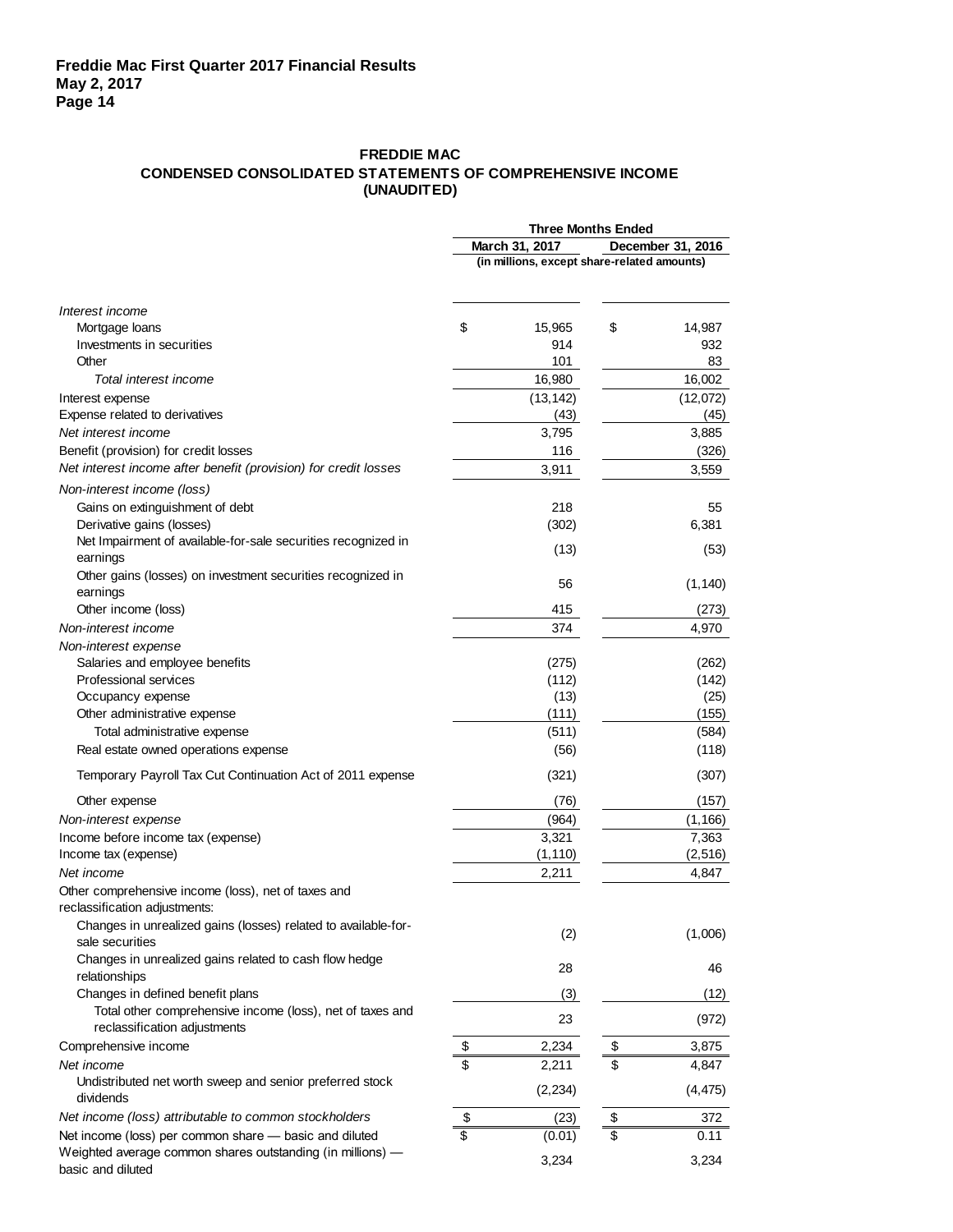#### **FREDDIE MAC CONDENSED CONSOLIDATED STATEMENTS OF COMPREHENSIVE INCOME (UNAUDITED)**

|                                                                                           | <b>Three Months Ended</b> |                                             |  |  |  |  |  |  |  |  |
|-------------------------------------------------------------------------------------------|---------------------------|---------------------------------------------|--|--|--|--|--|--|--|--|
|                                                                                           | March 31, 2017            | December 31, 2016                           |  |  |  |  |  |  |  |  |
|                                                                                           |                           | (in millions, except share-related amounts) |  |  |  |  |  |  |  |  |
| Interest income                                                                           |                           |                                             |  |  |  |  |  |  |  |  |
| Mortgage loans                                                                            | \$<br>15,965              | \$<br>14,987                                |  |  |  |  |  |  |  |  |
| Investments in securities                                                                 | 914                       | 932                                         |  |  |  |  |  |  |  |  |
| Other                                                                                     | 101                       | 83                                          |  |  |  |  |  |  |  |  |
| Total interest income                                                                     | 16,980                    | 16,002                                      |  |  |  |  |  |  |  |  |
| Interest expense                                                                          | (13, 142)                 | (12,072)                                    |  |  |  |  |  |  |  |  |
| Expense related to derivatives                                                            | (43)                      | (45)                                        |  |  |  |  |  |  |  |  |
| Net interest income                                                                       | 3,795                     | 3,885                                       |  |  |  |  |  |  |  |  |
| Benefit (provision) for credit losses                                                     | 116                       | (326)                                       |  |  |  |  |  |  |  |  |
| Net interest income after benefit (provision) for credit losses                           | 3,911                     | 3,559                                       |  |  |  |  |  |  |  |  |
|                                                                                           |                           |                                             |  |  |  |  |  |  |  |  |
| Non-interest income (loss)                                                                |                           |                                             |  |  |  |  |  |  |  |  |
| Gains on extinguishment of debt                                                           | 218                       | 55                                          |  |  |  |  |  |  |  |  |
| Derivative gains (losses)                                                                 | (302)                     | 6,381                                       |  |  |  |  |  |  |  |  |
| Net Impairment of available-for-sale securities recognized in<br>earnings                 | (13)                      | (53)                                        |  |  |  |  |  |  |  |  |
| Other gains (losses) on investment securities recognized in                               | 56                        | (1, 140)                                    |  |  |  |  |  |  |  |  |
| earnings                                                                                  |                           |                                             |  |  |  |  |  |  |  |  |
| Other income (loss)                                                                       | 415                       | (273)                                       |  |  |  |  |  |  |  |  |
| Non-interest income                                                                       | 374                       | 4,970                                       |  |  |  |  |  |  |  |  |
| Non-interest expense                                                                      |                           |                                             |  |  |  |  |  |  |  |  |
| Salaries and employee benefits                                                            | (275)                     | (262)                                       |  |  |  |  |  |  |  |  |
| Professional services                                                                     | (112)                     | (142)                                       |  |  |  |  |  |  |  |  |
| Occupancy expense                                                                         | (13)                      | (25)                                        |  |  |  |  |  |  |  |  |
| Other administrative expense                                                              | (111)                     | (155)                                       |  |  |  |  |  |  |  |  |
| Total administrative expense                                                              | (511)                     | (584)                                       |  |  |  |  |  |  |  |  |
| Real estate owned operations expense                                                      | (56)                      | (118)                                       |  |  |  |  |  |  |  |  |
| Temporary Payroll Tax Cut Continuation Act of 2011 expense                                | (321)                     | (307)                                       |  |  |  |  |  |  |  |  |
| Other expense                                                                             | (76)                      | (157)                                       |  |  |  |  |  |  |  |  |
| Non-interest expense                                                                      | (964)                     | (1, 166)                                    |  |  |  |  |  |  |  |  |
| Income before income tax (expense)                                                        | 3,321                     | 7,363                                       |  |  |  |  |  |  |  |  |
| Income tax (expense)                                                                      | (1, 110)                  | (2, 516)                                    |  |  |  |  |  |  |  |  |
| Net income                                                                                | 2,211                     | 4,847                                       |  |  |  |  |  |  |  |  |
| Other comprehensive income (loss), net of taxes and<br>reclassification adjustments:      |                           |                                             |  |  |  |  |  |  |  |  |
| Changes in unrealized gains (losses) related to available-for-                            | (2)                       | (1,006)                                     |  |  |  |  |  |  |  |  |
| sale securities                                                                           |                           |                                             |  |  |  |  |  |  |  |  |
| Changes in unrealized gains related to cash flow hedge<br>relationships                   | 28                        | 46                                          |  |  |  |  |  |  |  |  |
| Changes in defined benefit plans                                                          | (3)                       | (12)                                        |  |  |  |  |  |  |  |  |
| Total other comprehensive income (loss), net of taxes and<br>reclassification adjustments | 23                        | (972)                                       |  |  |  |  |  |  |  |  |
| Comprehensive income                                                                      | \$<br>2,234               | \$<br>3,875                                 |  |  |  |  |  |  |  |  |
| Net income                                                                                | \$<br>2,211               | \$<br>4,847                                 |  |  |  |  |  |  |  |  |
| Undistributed net worth sweep and senior preferred stock<br>dividends                     | (2, 234)                  | (4, 475)                                    |  |  |  |  |  |  |  |  |
| Net income (loss) attributable to common stockholders                                     | \$<br>(23)                | \$<br>372                                   |  |  |  |  |  |  |  |  |
| Net income (loss) per common share - basic and diluted                                    | \$<br>(0.01)              | \$<br>0.11                                  |  |  |  |  |  |  |  |  |
| Weighted average common shares outstanding (in millions) -                                |                           |                                             |  |  |  |  |  |  |  |  |
| basic and diluted                                                                         | 3,234                     | 3,234                                       |  |  |  |  |  |  |  |  |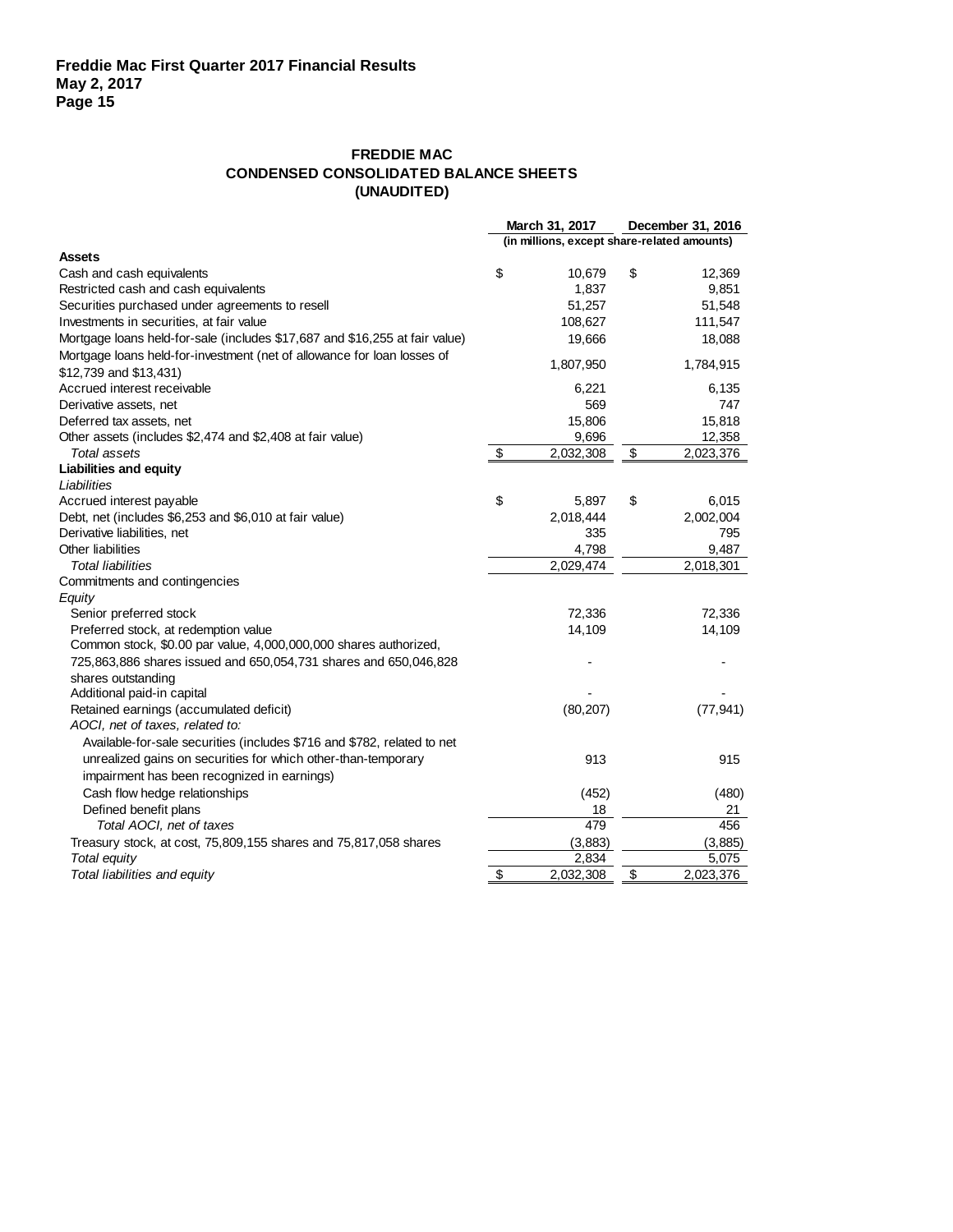### **FREDDIE MAC CONDENSED CONSOLIDATED BALANCE SHEETS (UNAUDITED)**

|                                                                             | March 31, 2017                              |                          | December 31, 2016      |  |  |  |
|-----------------------------------------------------------------------------|---------------------------------------------|--------------------------|------------------------|--|--|--|
|                                                                             | (in millions, except share-related amounts) |                          |                        |  |  |  |
| <b>Assets</b>                                                               |                                             |                          |                        |  |  |  |
| Cash and cash equivalents                                                   | \$<br>10,679                                | \$                       | 12,369                 |  |  |  |
| Restricted cash and cash equivalents                                        | 1,837                                       |                          | 9,851                  |  |  |  |
| Securities purchased under agreements to resell                             | 51,257                                      |                          | 51,548                 |  |  |  |
| Investments in securities, at fair value                                    | 108,627                                     |                          | 111,547                |  |  |  |
| Mortgage loans held-for-sale (includes \$17,687 and \$16,255 at fair value) | 19,666                                      |                          | 18,088                 |  |  |  |
| Mortgage loans held-for-investment (net of allowance for loan losses of     | 1,807,950                                   |                          | 1,784,915              |  |  |  |
| \$12,739 and \$13,431)                                                      |                                             |                          |                        |  |  |  |
| Accrued interest receivable                                                 | 6,221                                       |                          | 6,135                  |  |  |  |
| Derivative assets, net                                                      | 569                                         |                          | 747                    |  |  |  |
| Deferred tax assets, net                                                    | 15,806                                      |                          | 15,818                 |  |  |  |
| Other assets (includes \$2,474 and \$2,408 at fair value)                   | 9,696                                       |                          | 12,358                 |  |  |  |
| Total assets                                                                | \$<br>2,032,308                             | $\overline{\mathcal{E}}$ | 2,023,376              |  |  |  |
| <b>Liabilities and equity</b>                                               |                                             |                          |                        |  |  |  |
| Liabilities                                                                 |                                             |                          |                        |  |  |  |
| Accrued interest payable                                                    | \$<br>5,897                                 | \$                       | 6,015                  |  |  |  |
| Debt, net (includes \$6,253 and \$6,010 at fair value)                      | 2,018,444                                   |                          | 2,002,004              |  |  |  |
| Derivative liabilities, net                                                 | 335                                         |                          | 795                    |  |  |  |
| Other liabilities                                                           | 4,798                                       |                          | 9,487                  |  |  |  |
| <b>Total liabilities</b>                                                    | 2,029,474                                   |                          | $\overline{2,}018,301$ |  |  |  |
| Commitments and contingencies                                               |                                             |                          |                        |  |  |  |
| Equity                                                                      |                                             |                          |                        |  |  |  |
| Senior preferred stock                                                      | 72,336                                      |                          | 72,336                 |  |  |  |
| Preferred stock, at redemption value                                        | 14,109                                      |                          | 14,109                 |  |  |  |
| Common stock, \$0.00 par value, 4,000,000,000 shares authorized,            |                                             |                          |                        |  |  |  |
| 725,863,886 shares issued and 650,054,731 shares and 650,046,828            |                                             |                          |                        |  |  |  |
| shares outstanding                                                          |                                             |                          |                        |  |  |  |
| Additional paid-in capital                                                  |                                             |                          |                        |  |  |  |
| Retained earnings (accumulated deficit)                                     | (80, 207)                                   |                          | (77, 941)              |  |  |  |
| AOCI, net of taxes, related to:                                             |                                             |                          |                        |  |  |  |
| Available-for-sale securities (includes \$716 and \$782, related to net     |                                             |                          |                        |  |  |  |
| unrealized gains on securities for which other-than-temporary               | 913                                         |                          | 915                    |  |  |  |
| impairment has been recognized in earnings)                                 |                                             |                          |                        |  |  |  |
| Cash flow hedge relationships                                               | (452)                                       |                          | (480)                  |  |  |  |
| Defined benefit plans                                                       | 18                                          |                          | 21                     |  |  |  |
| Total AOCI, net of taxes                                                    | 479                                         |                          | 456                    |  |  |  |
| Treasury stock, at cost, 75,809,155 shares and 75,817,058 shares            | (3,883)                                     |                          | (3,885)                |  |  |  |
| Total equity                                                                | 2,834                                       |                          | 5,075                  |  |  |  |
| Total liabilities and equity                                                | \$<br>2,032,308                             | \$                       | 2,023,376              |  |  |  |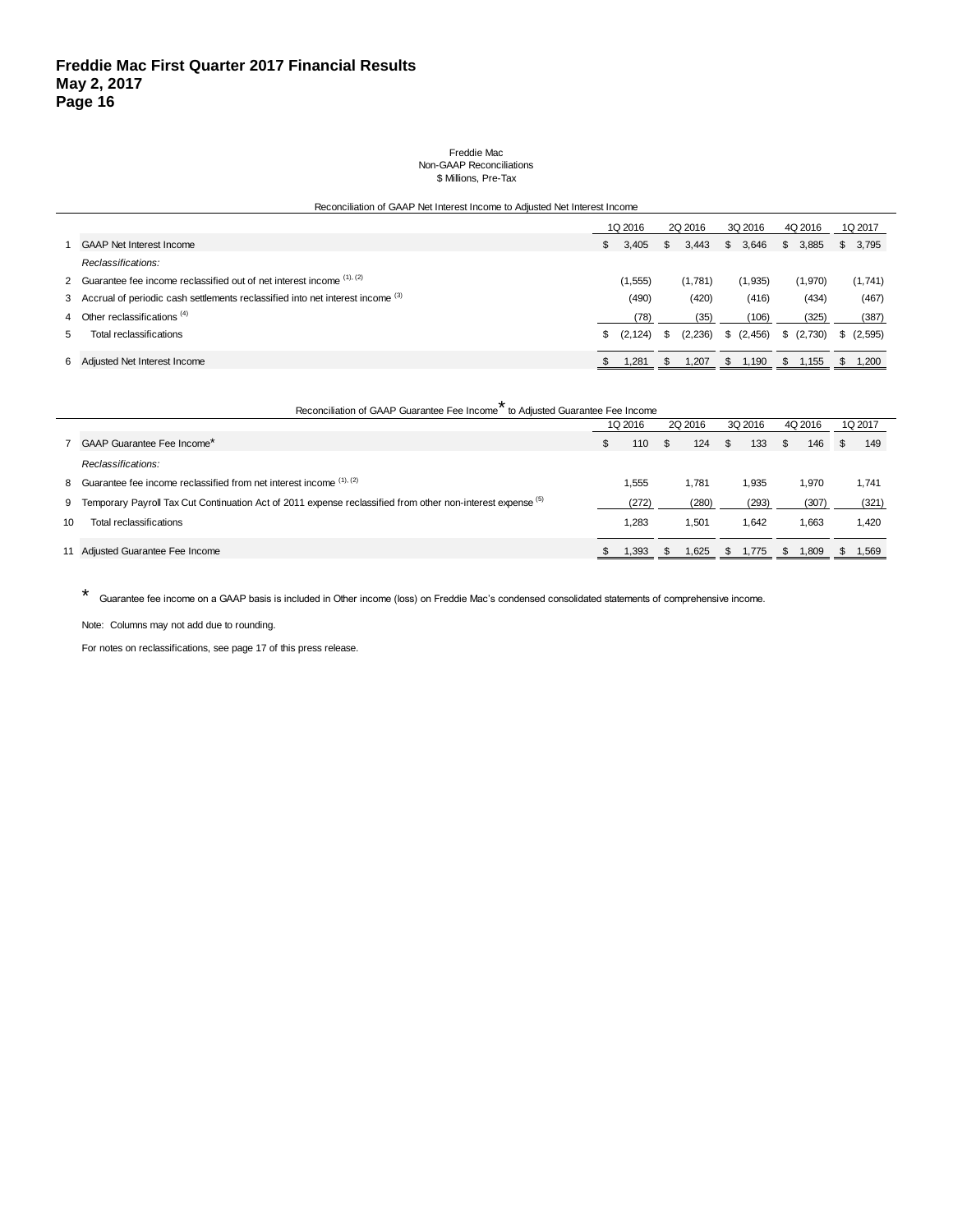#### Freddie Mac Non-GAAP Reconciliations \$ Millions, Pre-Tax

| Reconciliation of GAAP Net Interest Income to Adjusted Net Interest Income |                                                                                  |    |          |         |         |             |       |         |         |  |           |
|----------------------------------------------------------------------------|----------------------------------------------------------------------------------|----|----------|---------|---------|-------------|-------|---------|---------|--|-----------|
|                                                                            |                                                                                  |    | 1Q 2016  | 2Q 2016 |         | 3Q 2016     |       | 4Q 2016 |         |  | 1Q 2017   |
|                                                                            | <b>GAAP Net Interest Income</b>                                                  | \$ | 3.405    | S.      | 3.443   | 3,646<br>S. |       | S.      | 3,885   |  | \$3,795   |
|                                                                            | Reclassifications:                                                               |    |          |         |         |             |       |         |         |  |           |
|                                                                            | 2 Guarantee fee income reclassified out of net interest income $(1)$ , $(2)$     |    | (1,555)  |         | (1,781) | (1,935)     |       |         | (1,970) |  | (1,741)   |
|                                                                            | 3 Accrual of periodic cash settlements reclassified into net interest income (3) |    | (490)    |         | (420)   |             | (416) |         | (434)   |  | (467)     |
|                                                                            | 4 Other reclassifications <sup>(4)</sup>                                         |    | (78)     |         | (35)    |             | (106) |         | (325)   |  | (387)     |
|                                                                            | Total reclassifications                                                          | \$ | (2, 124) | -SS     | (2,236) | (2, 456)    |       |         | (2,730) |  | \$(2,595) |
|                                                                            | 6 Adjusted Net Interest Income                                                   |    | 1,281    |         | 1,207   | S.          | 1,190 | -SS     | 1,155   |  | 1.200     |

|    | *<br>Reconciliation of GAAP Guarantee Fee Income to Adjusted Guarantee Fee Income                             |     |         |     |       |              |       |               |       |  |       |  |  |  |         |  |         |  |         |  |         |
|----|---------------------------------------------------------------------------------------------------------------|-----|---------|-----|-------|--------------|-------|---------------|-------|--|-------|--|--|--|---------|--|---------|--|---------|--|---------|
|    |                                                                                                               |     | 1Q 2016 |     |       |              |       |               |       |  |       |  |  |  | 2Q 2016 |  | 3Q 2016 |  | 4Q 2016 |  | 1Q 2017 |
|    | 7 GAAP Guarantee Fee Income*                                                                                  | \$. | 110     | \$. | 124   | $\mathbb{S}$ | 133   | <sup>\$</sup> | 146   |  | 149   |  |  |  |         |  |         |  |         |  |         |
|    | Reclassifications:                                                                                            |     |         |     |       |              |       |               |       |  |       |  |  |  |         |  |         |  |         |  |         |
|    | 8 Guarantee fee income reclassified from net interest income (1), (2)                                         |     | 1,555   |     | 1.781 |              | 1,935 |               | 1,970 |  | 1,741 |  |  |  |         |  |         |  |         |  |         |
|    | 9 Temporary Payroll Tax Cut Continuation Act of 2011 expense reclassified from other non-interest expense (5) |     | (272)   |     | (280) |              | (293) |               | (307) |  | (321) |  |  |  |         |  |         |  |         |  |         |
| 10 | Total reclassifications                                                                                       |     | 1.283   |     | 1.501 |              | 1.642 |               | 1,663 |  | 1,420 |  |  |  |         |  |         |  |         |  |         |
|    | 11 Adjusted Guarantee Fee Income                                                                              |     | 1,393   |     | 1,625 | - 35         | 1.775 | - \$          | 1,809 |  | 1.569 |  |  |  |         |  |         |  |         |  |         |

\* Guarantee fee income on a GAAP basis is included in Other income (loss) on Freddie Mac's condensed consolidated statements of comprehensive income.

Note: Columns may not add due to rounding.

For notes on reclassifications, see page 17 of this press release.